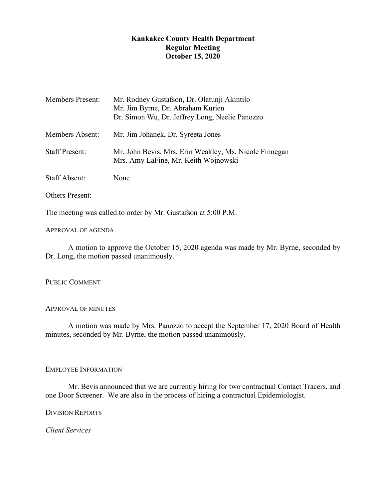# **Kankakee County Health Department Regular Meeting October 15, 2020**

| <b>Members Present:</b> | Mr. Rodney Gustafson, Dr. Olatunji Akintilo<br>Mr. Jim Byrne, Dr. Abraham Kurien<br>Dr. Simon Wu, Dr. Jeffrey Long, Neelie Panozzo |
|-------------------------|------------------------------------------------------------------------------------------------------------------------------------|
| <b>Members Absent:</b>  | Mr. Jim Johanek, Dr. Syreeta Jones                                                                                                 |
| <b>Staff Present:</b>   | Mr. John Bevis, Mrs. Erin Weakley, Ms. Nicole Finnegan<br>Mrs. Amy LaFine, Mr. Keith Wojnowski                                     |
| <b>Staff Absent:</b>    | None                                                                                                                               |

Others Present:

The meeting was called to order by Mr. Gustafson at 5:00 P.M.

## APPROVAL OF AGENDA

A motion to approve the October 15, 2020 agenda was made by Mr. Byrne, seconded by Dr. Long, the motion passed unanimously.

## PUBLIC COMMENT

## APPROVAL OF MINUTES

A motion was made by Mrs. Panozzo to accept the September 17, 2020 Board of Health minutes, seconded by Mr. Byrne, the motion passed unanimously.

## EMPLOYEE INFORMATION

Mr. Bevis announced that we are currently hiring for two contractual Contact Tracers, and one Door Screener. We are also in the process of hiring a contractual Epidemiologist.

DIVISION REPORTS

*Client Services*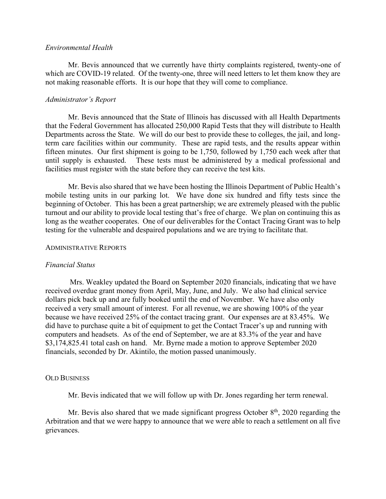#### *Environmental Health*

Mr. Bevis announced that we currently have thirty complaints registered, twenty-one of which are COVID-19 related. Of the twenty-one, three will need letters to let them know they are not making reasonable efforts. It is our hope that they will come to compliance.

#### *Administrator's Report*

Mr. Bevis announced that the State of Illinois has discussed with all Health Departments that the Federal Government has allocated 250,000 Rapid Tests that they will distribute to Health Departments across the State. We will do our best to provide these to colleges, the jail, and longterm care facilities within our community. These are rapid tests, and the results appear within fifteen minutes. Our first shipment is going to be 1,750, followed by 1,750 each week after that until supply is exhausted. These tests must be administered by a medical professional and facilities must register with the state before they can receive the test kits.

Mr. Bevis also shared that we have been hosting the Illinois Department of Public Health's mobile testing units in our parking lot. We have done six hundred and fifty tests since the beginning of October. This has been a great partnership; we are extremely pleased with the public turnout and our ability to provide local testing that's free of charge. We plan on continuing this as long as the weather cooperates. One of our deliverables for the Contact Tracing Grant was to help testing for the vulnerable and despaired populations and we are trying to facilitate that.

#### ADMINISTRATIVE REPORTS

#### *Financial Status*

Mrs. Weakley updated the Board on September 2020 financials, indicating that we have received overdue grant money from April, May, June, and July. We also had clinical service dollars pick back up and are fully booked until the end of November. We have also only received a very small amount of interest. For all revenue, we are showing 100% of the year because we have received 25% of the contact tracing grant. Our expenses are at 83.45%. We did have to purchase quite a bit of equipment to get the Contact Tracer's up and running with computers and headsets. As of the end of September, we are at 83.3% of the year and have \$3,174,825.41 total cash on hand. Mr. Byrne made a motion to approve September 2020 financials, seconded by Dr. Akintilo, the motion passed unanimously.

#### OLD BUSINESS

Mr. Bevis indicated that we will follow up with Dr. Jones regarding her term renewal.

Mr. Bevis also shared that we made significant progress October  $8<sup>th</sup>$ , 2020 regarding the Arbitration and that we were happy to announce that we were able to reach a settlement on all five grievances.